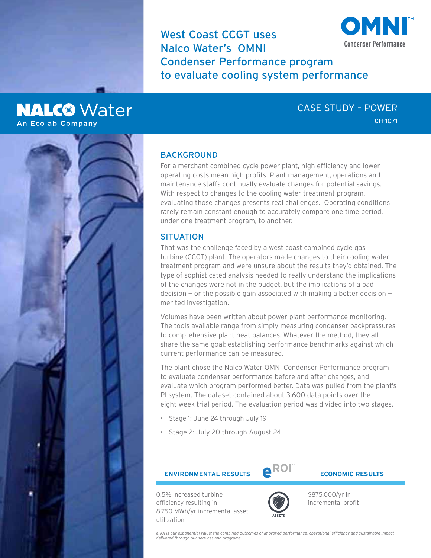West Coast CCGT uses Nalco Water's OMNI Condenser Performance program to evaluate cooling system performance



**NALC®** Water **An Ecolab Company** 

# CASE STUDY – POWER CH-1071

## **BACKGROUND**

For a merchant combined cycle power plant, high efficiency and lower operating costs mean high profits. Plant management, operations and maintenance staffs continually evaluate changes for potential savings. With respect to changes to the cooling water treatment program, evaluating those changes presents real challenges. Operating conditions rarely remain constant enough to accurately compare one time period, under one treatment program, to another.

## **SITUATION**

That was the challenge faced by a west coast combined cycle gas turbine (CCGT) plant. The operators made changes to their cooling water treatment program and were unsure about the results they'd obtained. The type of sophisticated analysis needed to really understand the implications of the changes were not in the budget, but the implications of a bad decision  $-$  or the possible gain associated with making a better decision  $$ merited investigation.

Volumes have been written about power plant performance monitoring. The tools available range from simply measuring condenser backpressures to comprehensive plant heat balances. Whatever the method, they all share the same goal: establishing performance benchmarks against which current performance can be measured.

The plant chose the Nalco Water OMNI Condenser Performance program to evaluate condenser performance before and after changes, and evaluate which program performed better. Data was pulled from the plant's PI system. The dataset contained about 3,600 data points over the eight-week trial period. The evaluation period was divided into two stages.

- Stage 1: June 24 through July 19
- Stage 2: July 20 through August 24

**ENVIRONMENTAL RESULTS**  $R^{N \times 1}$  **ECONOMIC RESULTS** 



0.5% increased turbine efficiency resulting in 8,750 MWh/yr incremental asset utilization



\$875,000/yr in incremental profit

*eROI is our exponential value: the combined outcomes of improved performance, operational efficiency and sustainable impact delivered through our services and programs.*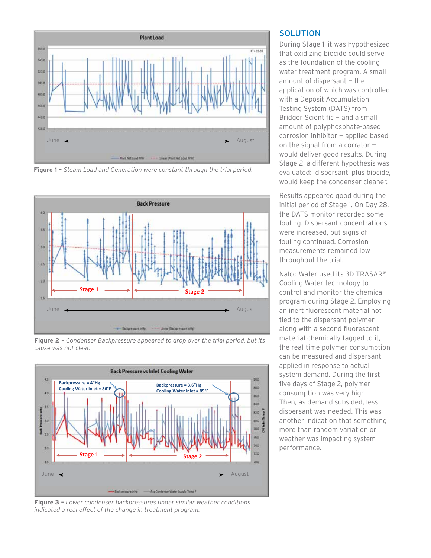

Figure 1 - Steam Load and Generation were constant through the trial period.



**Figure 2 –** *Condenser Backpressure appeared to drop over the trial period, but its cause was not clear.*



**Figure 3 –** *Lower condenser backpressures under similar weather conditions indicated a real effect of the change in treatment program.* 

### **SOLUTION**

During Stage 1, it was hypothesized that oxidizing biocide could serve as the foundation of the cooling water treatment program. A small amount of dispersant — the application of which was controlled with a Deposit Accumulation Testing System (DATS) from Bridger Scientific — and a small amount of polyphosphate-based corrosion inhibitor — applied based on the signal from a corrator would deliver good results. During Stage 2, a different hypothesis was evaluated: dispersant, plus biocide, would keep the condenser cleaner.

Results appeared good during the initial period of Stage 1. On Day 28, the DATS monitor recorded some fouling. Dispersant concentrations were increased, but signs of fouling continued. Corrosion measurements remained low throughout the trial.

Nalco Water used its 3D TRASAR® Cooling Water technology to control and monitor the chemical program during Stage 2. Employing an inert fluorescent material not tied to the dispersant polymer along with a second fluorescent material chemically tagged to it, the real-time polymer consumption can be measured and dispersant applied in response to actual system demand. During the first five days of Stage 2, polymer consumption was very high. Then, as demand subsided, less dispersant was needed. This was another indication that something more than random variation or weather was impacting system performance.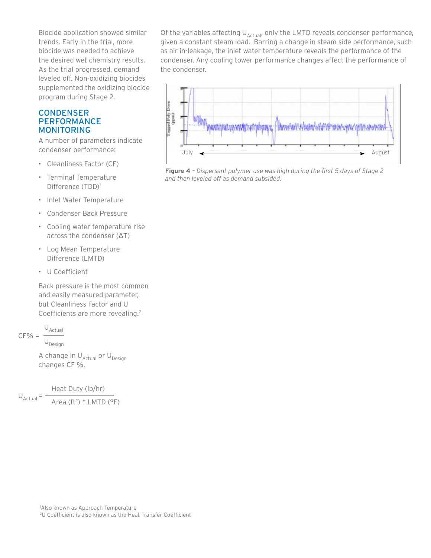Biocide application showed similar trends. Early in the trial, more biocide was needed to achieve the desired wet chemistry results. As the trial progressed, demand leveled off. Non-oxidizing biocides supplemented the oxidizing biocide program during Stage 2.

### **CONDENSER** PERFORMANCE MONITORING

A number of parameters indicate condenser performance:

- Cleanliness Factor (CF)
- Terminal Temperature Difference (TDD)<sup>1</sup>
- Inlet Water Temperature
- Condenser Back Pressure
- Cooling water temperature rise across the condenser (ΔT)
- Log Mean Temperature Difference (LMTD)
- U Coefficient

Back pressure is the most common and easily measured parameter, but Cleanliness Factor and U Coefficients are more revealing.2

$$
CF\% = \frac{U_{Actual}}{U_{Design}}
$$

A change in  $U_{\text{Actual}}$  or  $U_{\text{Design}}$ changes CF %.

 Heat Duty (lb/hr) Area (ft<sup>2</sup>) \* LMTD (°F)  $U_{\text{Actual}} = -$ 

Of the variables affecting  $U_{\text{Actual}}$ , only the LMTD reveals condenser performance, given a constant steam load. Barring a change in steam side performance, such as air in-leakage, the inlet water temperature reveals the performance of the condenser. Any cooling tower performance changes affect the performance of the condenser.



**Figure 4** *– Dispersant polymer use was high during the first 5 days of Stage 2 and then leveled off as demand subsided.*